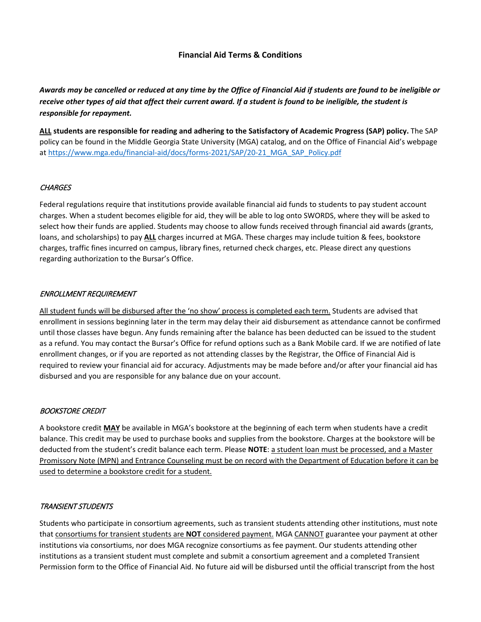# **Financial Aid Terms & Conditions**

*Awards may be cancelled or reduced at any time by the Office of Financial Aid if students are found to be ineligible or receive other types of aid that affect their current award. If a student is found to be ineligible, the student is responsible for repayment.*

**ALL students are responsible for reading and adhering to the Satisfactory of Academic Progress (SAP) policy.** The SAP policy can be found in the Middle Georgia State University (MGA) catalog, and on the Office of Financial Aid's webpage at [https://www.mga.edu/financial-aid/docs/forms-2021/SAP/20-21\\_MGA\\_SAP\\_Policy.pdf](https://www.mga.edu/financial-aid/docs/forms-2021/SAP/20-21_MGA_SAP_Policy.pdf)

## **CHARGES**

Federal regulations require that institutions provide available financial aid funds to students to pay student account charges. When a student becomes eligible for aid, they will be able to log onto SWORDS, where they will be asked to select how their funds are applied. Students may choose to allow funds received through financial aid awards (grants, loans, and scholarships) to pay **ALL** charges incurred at MGA. These charges may include tuition & fees, bookstore charges, traffic fines incurred on campus, library fines, returned check charges, etc. Please direct any questions regarding authorization to the Bursar's Office.

## ENROLLMENT REQUIREMENT

All student funds will be disbursed after the 'no show' process is completed each term. Students are advised that enrollment in sessions beginning later in the term may delay their aid disbursement as attendance cannot be confirmed until those classes have begun. Any funds remaining after the balance has been deducted can be issued to the student as a refund. You may contact the Bursar's Office for refund options such as a Bank Mobile card. If we are notified of late enrollment changes, or if you are reported as not attending classes by the Registrar, the Office of Financial Aid is required to review your financial aid for accuracy. Adjustments may be made before and/or after your financial aid has disbursed and you are responsible for any balance due on your account.

#### BOOKSTORE CREDIT

A bookstore credit **MAY** be available in MGA's bookstore at the beginning of each term when students have a credit balance. This credit may be used to purchase books and supplies from the bookstore. Charges at the bookstore will be deducted from the student's credit balance each term. Please **NOTE**: a student loan must be processed, and a Master Promissory Note (MPN) and Entrance Counseling must be on record with the Department of Education before it can be used to determine a bookstore credit for a student.

#### TRANSIENT STUDENTS

Students who participate in consortium agreements, such as transient students attending other institutions, must note that consortiums for transient students are **NOT** considered payment. MGA CANNOT guarantee your payment at other institutions via consortiums, nor does MGA recognize consortiums as fee payment. Our students attending other institutions as a transient student must complete and submit a consortium agreement and a completed Transient Permission form to the Office of Financial Aid. No future aid will be disbursed until the official transcript from the host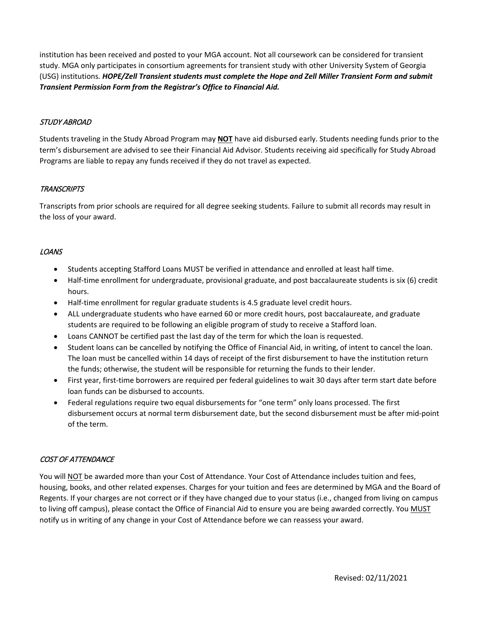institution has been received and posted to your MGA account. Not all coursework can be considered for transient study. MGA only participates in consortium agreements for transient study with other University System of Georgia (USG) institutions*. HOPE/Zell Transient students must complete the Hope and Zell Miller Transient Form and submit Transient Permission Form from the Registrar's Office to Financial Aid.* 

## STUDY ABROAD

Students traveling in the Study Abroad Program may **NOT** have aid disbursed early. Students needing funds prior to the term's disbursement are advised to see their Financial Aid Advisor. Students receiving aid specifically for Study Abroad Programs are liable to repay any funds received if they do not travel as expected.

## TRANSCRIPTS

Transcripts from prior schools are required for all degree seeking students. Failure to submit all records may result in the loss of your award.

## LOANS

- Students accepting Stafford Loans MUST be verified in attendance and enrolled at least half time.
- Half-time enrollment for undergraduate, provisional graduate, and post baccalaureate students is six (6) credit hours.
- Half-time enrollment for regular graduate students is 4.5 graduate level credit hours.
- ALL undergraduate students who have earned 60 or more credit hours, post baccalaureate, and graduate students are required to be following an eligible program of study to receive a Stafford loan.
- Loans CANNOT be certified past the last day of the term for which the loan is requested.
- Student loans can be cancelled by notifying the Office of Financial Aid, in writing, of intent to cancel the loan. The loan must be cancelled within 14 days of receipt of the first disbursement to have the institution return the funds; otherwise, the student will be responsible for returning the funds to their lender.
- First year, first-time borrowers are required per federal guidelines to wait 30 days after term start date before loan funds can be disbursed to accounts.
- Federal regulations require two equal disbursements for "one term" only loans processed. The first disbursement occurs at normal term disbursement date, but the second disbursement must be after mid-point of the term.

# COST OF ATTENDANCE

You will NOT be awarded more than your Cost of Attendance. Your Cost of Attendance includes tuition and fees, housing, books, and other related expenses. Charges for your tuition and fees are determined by MGA and the Board of Regents. If your charges are not correct or if they have changed due to your status (i.e., changed from living on campus to living off campus), please contact the Office of Financial Aid to ensure you are being awarded correctly. You MUST notify us in writing of any change in your Cost of Attendance before we can reassess your award.